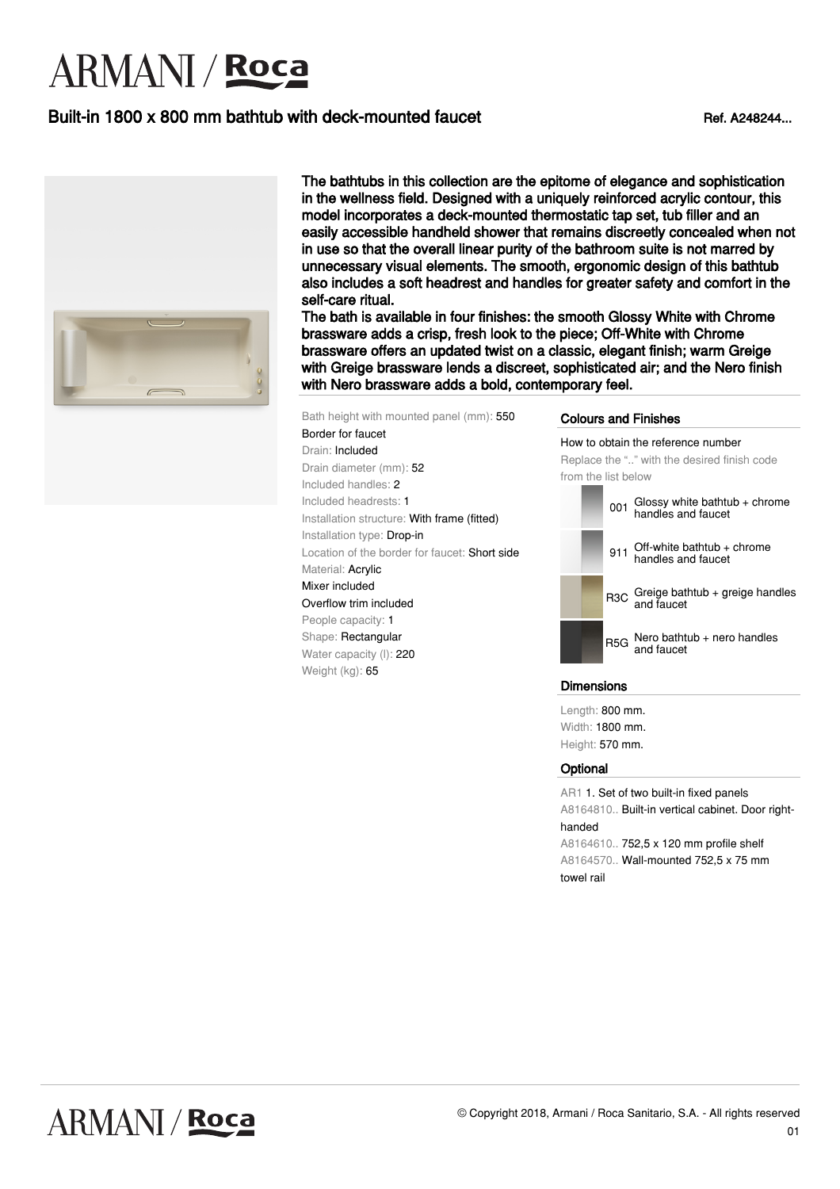# **ARMANI** / Roca

# Built-in 1800 x 800 mm bathtub with deck-mounted faucet Ref. A248244...



The bathtubs in this collection are the epitome of elegance and sophistication in the wellness field. Designed with a uniquely reinforced acrylic contour, this model incorporates a deck-mounted thermostatic tap set, tub filler and an easily accessible handheld shower that remains discreetly concealed when not in use so that the overall linear purity of the bathroom suite is not marred by unnecessary visual elements. The smooth, ergonomic design of this bathtub also includes a soft headrest and handles for greater safety and comfort in the self-care ritual.

The bath is available in four finishes: the smooth Glossy White with Chrome brassware adds a crisp, fresh look to the piece; Off-White with Chrome brassware offers an updated twist on a classic, elegant finish; warm Greige with Greige brassware lends a discreet, sophisticated air; and the Nero finish with Nero brassware adds a bold, contemporary feel.

Bath height with mounted panel (mm): 550 Border for faucet Drain: Included Drain diameter (mm): 52 Included handles: 2 Included headrests: 1 Installation structure: With frame (fitted) Installation type: Drop-in Location of the border for faucet: Short side Material: Acrylic Mixer included Overflow trim included People capacity: 1 Shape: Rectangular Water capacity (I): 220 Weight (kg): 65

### Colours and Finishes

How to obtain the reference number Replace the ".." with the desired finish code from the list below



### Dimensions

Length: 800 mm. Width: 1800 mm. Height: 570 mm.

#### **Optional**

AR1 1. Set of two built-in fixed panels A8164810.. Built-in vertical cabinet. Door righthanded A8164610.. 752,5 x 120 mm profile shelf

A8164570.. Wall-mounted 752,5 x 75 mm towel rail

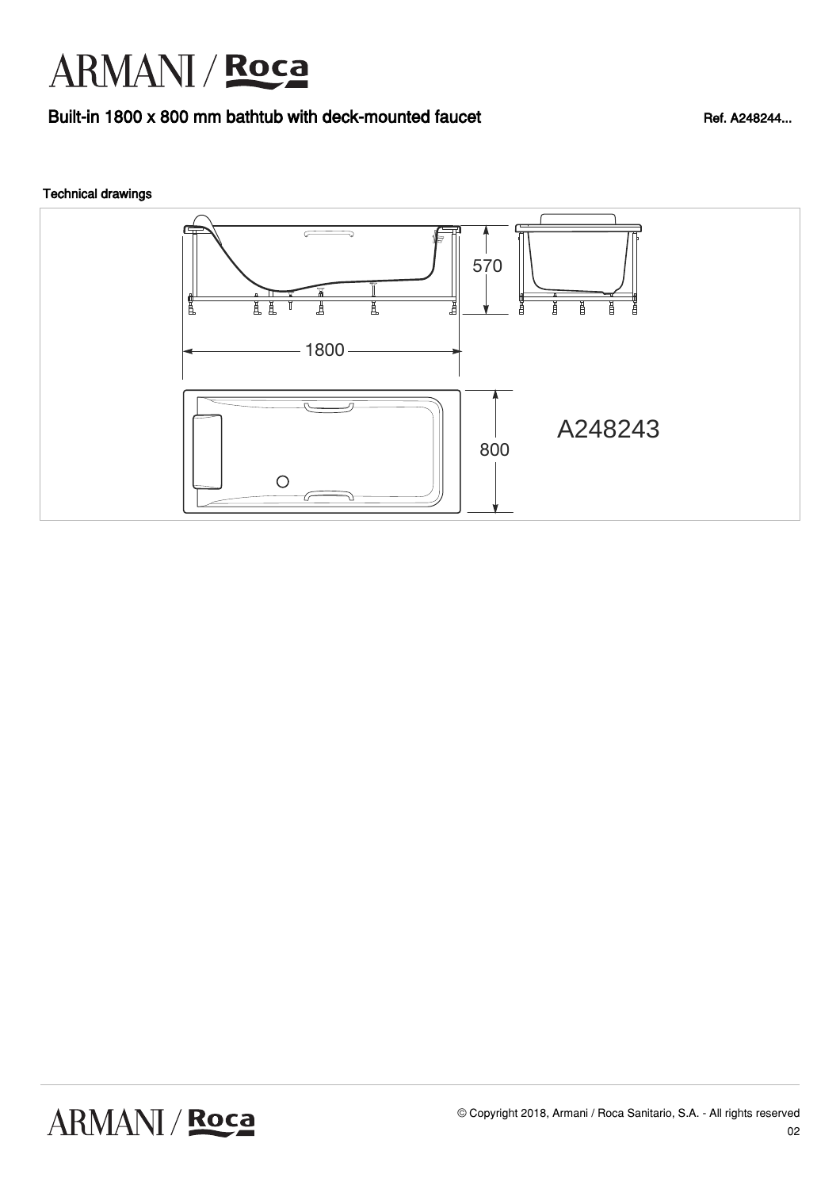# ARMANI / Roca

### Built-in 1800 x 800 mm bathtub with deck-mounted faucet Ref. A248244...

### Technical drawings